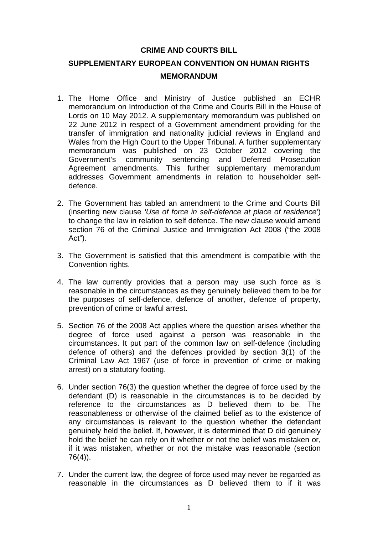#### **CRIME AND COURTS BILL**

# **SUPPLEMENTARY EUROPEAN CONVENTION ON HUMAN RIGHTS MEMORANDUM**

- 1. The Home Office and Ministry of Justice published an ECHR memorandum on Introduction of the Crime and Courts Bill in the House of Lords on 10 May 2012. A supplementary memorandum was published on 22 June 2012 in respect of a Government amendment providing for the transfer of immigration and nationality judicial reviews in England and Wales from the High Court to the Upper Tribunal. A further supplementary memorandum was published on 23 October 2012 covering the Government's community sentencing and Deferred Prosecution Agreement amendments. This further supplementary memorandum addresses Government amendments in relation to householder selfdefence.
- 2. The Government has tabled an amendment to the Crime and Courts Bill (inserting new clause *'Use of force in self-defence at place of residence'*) to change the law in relation to self defence. The new clause would amend section 76 of the Criminal Justice and Immigration Act 2008 ("the 2008 Act").
- 3. The Government is satisfied that this amendment is compatible with the Convention rights.
- 4. The law currently provides that a person may use such force as is reasonable in the circumstances as they genuinely believed them to be for the purposes of self-defence, defence of another, defence of property, prevention of crime or lawful arrest.
- 5. Section 76 of the 2008 Act applies where the question arises whether the degree of force used against a person was reasonable in the circumstances. It put part of the common law on self-defence (including defence of others) and the defences provided by section 3(1) of the Criminal Law Act 1967 (use of force in prevention of crime or making arrest) on a statutory footing.
- 6. Under section 76(3) the question whether the degree of force used by the defendant (D) is reasonable in the circumstances is to be decided by reference to the circumstances as D believed them to be. The reasonableness or otherwise of the claimed belief as to the existence of any circumstances is relevant to the question whether the defendant genuinely held the belief. If, however, it is determined that D did genuinely hold the belief he can rely on it whether or not the belief was mistaken or, if it was mistaken, whether or not the mistake was reasonable (section 76(4)).
- 7. Under the current law, the degree of force used may never be regarded as reasonable in the circumstances as D believed them to if it was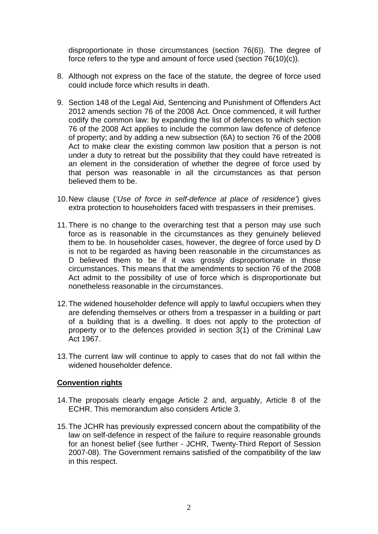disproportionate in those circumstances (section 76(6)). The degree of force refers to the type and amount of force used (section 76(10)(c)).

- 8. Although not express on the face of the statute, the degree of force used could include force which results in death.
- 9. Section 148 of the Legal Aid, Sentencing and Punishment of Offenders Act 2012 amends section 76 of the 2008 Act. Once commenced, it will further codify the common law: by expanding the list of defences to which section 76 of the 2008 Act applies to include the common law defence of defence of property; and by adding a new subsection (6A) to section 76 of the 2008 Act to make clear the existing common law position that a person is not under a duty to retreat but the possibility that they could have retreated is an element in the consideration of whether the degree of force used by that person was reasonable in all the circumstances as that person believed them to be.
- 10.New clause (*'Use of force in self-defence at place of residence'*) gives extra protection to householders faced with trespassers in their premises.
- 11.There is no change to the overarching test that a person may use such force as is reasonable in the circumstances as they genuinely believed them to be. In householder cases, however, the degree of force used by D is not to be regarded as having been reasonable in the circumstances as D believed them to be if it was grossly disproportionate in those circumstances. This means that the amendments to section 76 of the 2008 Act admit to the possibility of use of force which is disproportionate but nonetheless reasonable in the circumstances.
- 12.The widened householder defence will apply to lawful occupiers when they are defending themselves or others from a trespasser in a building or part of a building that is a dwelling. It does not apply to the protection of property or to the defences provided in section 3(1) of the Criminal Law Act 1967.
- 13.The current law will continue to apply to cases that do not fall within the widened householder defence.

### **Convention rights**

- 14.The proposals clearly engage Article 2 and, arguably, Article 8 of the ECHR. This memorandum also considers Article 3.
- 15.The JCHR has previously expressed concern about the compatibility of the law on self-defence in respect of the failure to require reasonable grounds for an honest belief (see further - JCHR, Twenty-Third Report of Session 2007-08). The Government remains satisfied of the compatibility of the law in this respect.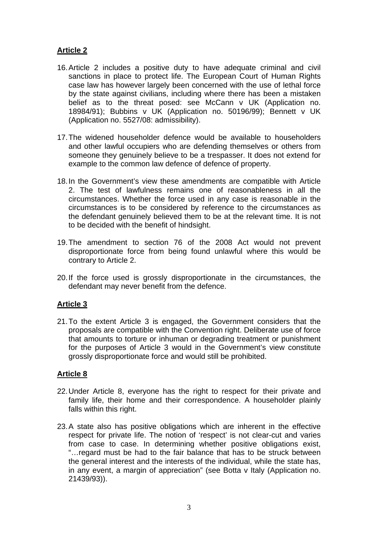## **Article 2**

- 16.Article 2 includes a positive duty to have adequate criminal and civil sanctions in place to protect life. The European Court of Human Rights case law has however largely been concerned with the use of lethal force by the state against civilians, including where there has been a mistaken belief as to the threat posed: see McCann v UK (Application no. 18984/91); Bubbins v UK (Application no. 50196/99); Bennett v UK (Application no. 5527/08: admissibility).
- 17.The widened householder defence would be available to householders and other lawful occupiers who are defending themselves or others from someone they genuinely believe to be a trespasser. It does not extend for example to the common law defence of defence of property.
- 18.In the Government's view these amendments are compatible with Article 2. The test of lawfulness remains one of reasonableness in all the circumstances. Whether the force used in any case is reasonable in the circumstances is to be considered by reference to the circumstances as the defendant genuinely believed them to be at the relevant time. It is not to be decided with the benefit of hindsight.
- 19.The amendment to section 76 of the 2008 Act would not prevent disproportionate force from being found unlawful where this would be contrary to Article 2.
- 20.If the force used is grossly disproportionate in the circumstances, the defendant may never benefit from the defence.

### **Article 3**

21.To the extent Article 3 is engaged, the Government considers that the proposals are compatible with the Convention right. Deliberate use of force that amounts to torture or inhuman or degrading treatment or punishment for the purposes of Article 3 would in the Government's view constitute grossly disproportionate force and would still be prohibited.

### **Article 8**

- 22.Under Article 8, everyone has the right to respect for their private and family life, their home and their correspondence. A householder plainly falls within this right.
- 23.A state also has positive obligations which are inherent in the effective respect for private life. The notion of 'respect' is not clear-cut and varies from case to case. In determining whether positive obligations exist, "…regard must be had to the fair balance that has to be struck between the general interest and the interests of the individual, while the state has, in any event, a margin of appreciation" (see Botta v Italy (Application no. 21439/93)).